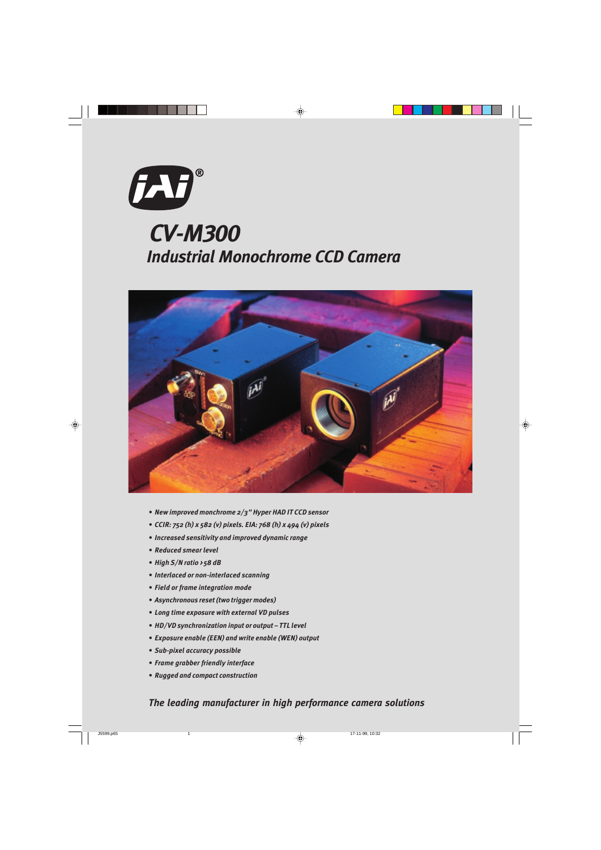

## Industrial Monochrome CCD Camera CV-M300



- New improved monchrome  $2/3$ " Hyper HAD IT CCD sensor
- CCIR: 752 (h) x 582 (v) pixels. EIA: 768 (h) x 494 (v) pixels
- Increased sensitivity and improved dynamic range
- Reduced smear level
- $\bullet$  High S/N ratio > 58 dB
- Interlaced or non-interlaced scanning
- Field or frame integration mode
- Asynchronous reset (two trigger modes)
- Long time exposure with external VD pulses
- HD/VD synchronization input or output TTL level
- Exposure enable (EEN) and write enable (WEN) output
- Sub-pixel accuracy possible
- Frame grabber friendly interface
- Rugged and compact construction

The leading manufacturer in high performance camera solutions